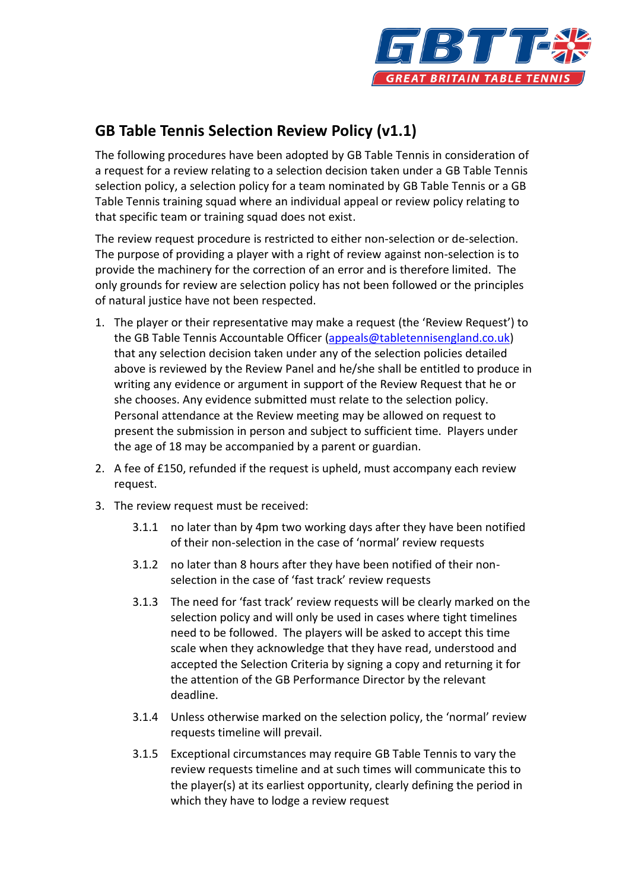

## **GB Table Tennis Selection Review Policy (v1.1)**

The following procedures have been adopted by GB Table Tennis in consideration of a request for a review relating to a selection decision taken under a GB Table Tennis selection policy, a selection policy for a team nominated by GB Table Tennis or a GB Table Tennis training squad where an individual appeal or review policy relating to that specific team or training squad does not exist.

The review request procedure is restricted to either non-selection or de-selection. The purpose of providing a player with a right of review against non-selection is to provide the machinery for the correction of an error and is therefore limited. The only grounds for review are selection policy has not been followed or the principles of natural justice have not been respected.

- 1. The player or their representative may make a request (the 'Review Request') to the GB Table Tennis Accountable Officer [\(appeals@tabletennisengland.co.uk\)](mailto:appeals@tabletennisengland.co.uk) that any selection decision taken under any of the selection policies detailed above is reviewed by the Review Panel and he/she shall be entitled to produce in writing any evidence or argument in support of the Review Request that he or she chooses. Any evidence submitted must relate to the selection policy. Personal attendance at the Review meeting may be allowed on request to present the submission in person and subject to sufficient time. Players under the age of 18 may be accompanied by a parent or guardian.
- 2. A fee of £150, refunded if the request is upheld, must accompany each review request.
- 3. The review request must be received:
	- 3.1.1 no later than by 4pm two working days after they have been notified of their non-selection in the case of 'normal' review requests
	- 3.1.2 no later than 8 hours after they have been notified of their nonselection in the case of 'fast track' review requests
	- 3.1.3 The need for 'fast track' review requests will be clearly marked on the selection policy and will only be used in cases where tight timelines need to be followed. The players will be asked to accept this time scale when they acknowledge that they have read, understood and accepted the Selection Criteria by signing a copy and returning it for the attention of the GB Performance Director by the relevant deadline.
	- 3.1.4 Unless otherwise marked on the selection policy, the 'normal' review requests timeline will prevail.
	- 3.1.5 Exceptional circumstances may require GB Table Tennis to vary the review requests timeline and at such times will communicate this to the player(s) at its earliest opportunity, clearly defining the period in which they have to lodge a review request